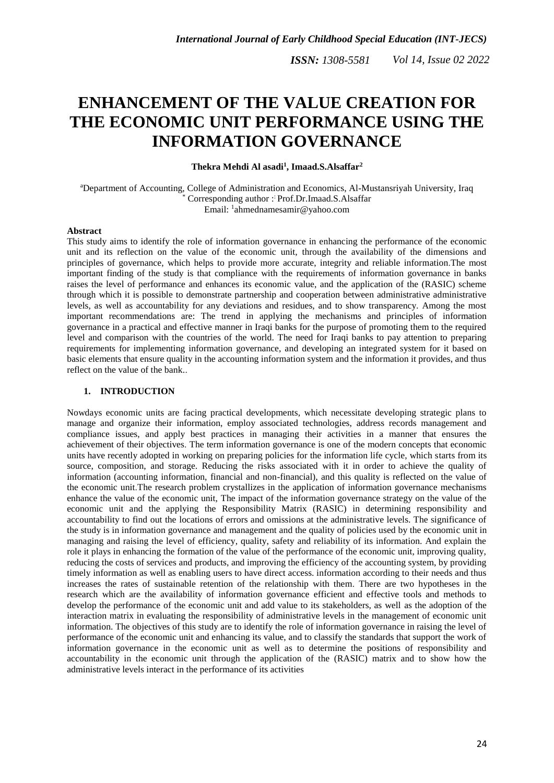# **ENHANCEMENT OF THE VALUE CREATION FOR THE ECONOMIC UNIT PERFORMANCE USING THE INFORMATION GOVERNANCE**

**Thekra Mehdi Al asadi<sup>1</sup> , Imaad.S.Alsaffar<sup>2</sup>**

<sup>a</sup>Department of Accounting, College of Administration and Economics, Al-Mustansriyah University, Iraq Corresponding author : Prof.Dr.Imaad.S.Alsaffar Email: <sup>1</sup>[ahmednamesamir@yahoo.com](mailto:ahmednamesamir@yahoo.com)

## **Abstract**

This study aims to identify the role of information governance in enhancing the performance of the economic unit and its reflection on the value of the economic unit, through the availability of the dimensions and principles of governance, which helps to provide more accurate, integrity and reliable information.The most important finding of the study is that compliance with the requirements of information governance in banks raises the level of performance and enhances its economic value, and the application of the (RASIC) scheme through which it is possible to demonstrate partnership and cooperation between administrative administrative levels, as well as accountability for any deviations and residues, and to show transparency. Among the most important recommendations are: The trend in applying the mechanisms and principles of information governance in a practical and effective manner in Iraqi banks for the purpose of promoting them to the required level and comparison with the countries of the world. The need for Iraqi banks to pay attention to preparing requirements for implementing information governance, and developing an integrated system for it based on basic elements that ensure quality in the accounting information system and the information it provides, and thus reflect on the value of the bank..

#### **1. INTRODUCTION**

Nowdays economic units are facing practical developments, which necessitate developing strategic plans to manage and organize their information, employ associated technologies, address records management and compliance issues, and apply best practices in managing their activities in a manner that ensures the achievement of their objectives. The term information governance is one of the modern concepts that economic units have recently adopted in working on preparing policies for the information life cycle, which starts from its source, composition, and storage. Reducing the risks associated with it in order to achieve the quality of information (accounting information, financial and non-financial), and this quality is reflected on the value of the economic unit.The research problem crystallizes in the application of information governance mechanisms enhance the value of the economic unit, The impact of the information governance strategy on the value of the economic unit and the applying the Responsibility Matrix (RASIC) in determining responsibility and accountability to find out the locations of errors and omissions at the administrative levels. The significance of the study is in information governance and management and the quality of policies used by the economic unit in managing and raising the level of efficiency, quality, safety and reliability of its information. And explain the role it plays in enhancing the formation of the value of the performance of the economic unit, improving quality, reducing the costs of services and products, and improving the efficiency of the accounting system, by providing timely information as well as enabling users to have direct access. information according to their needs and thus increases the rates of sustainable retention of the relationship with them. There are two hypotheses in the research which are the availability of information governance efficient and effective tools and methods to develop the performance of the economic unit and add value to its stakeholders, as well as the adoption of the interaction matrix in evaluating the responsibility of administrative levels in the management of economic unit information. The objectives of this study are to identify the role of information governance in raising the level of performance of the economic unit and enhancing its value, and to classify the standards that support the work of information governance in the economic unit as well as to determine the positions of responsibility and accountability in the economic unit through the application of the (RASIC) matrix and to show how the administrative levels interact in the performance of its activities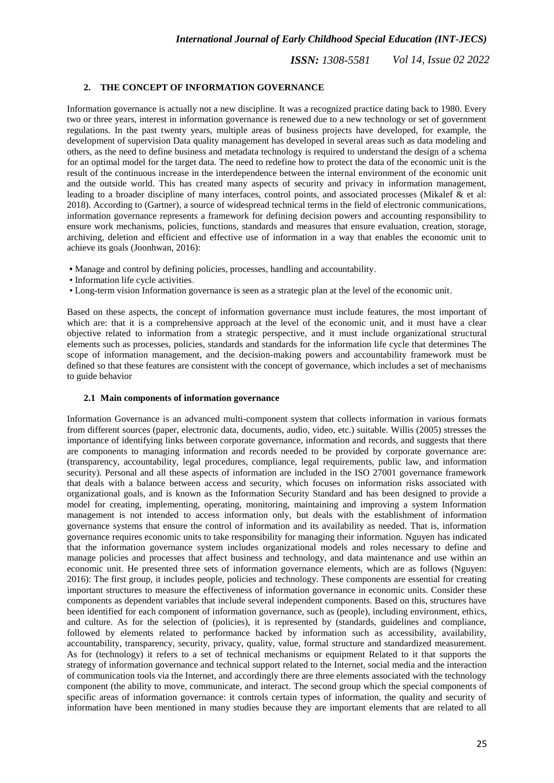# **2. THE CONCEPT OF INFORMATION GOVERNANCE**

Information governance is actually not a new discipline. It was a recognized practice dating back to 1980. Every two or three years, interest in information governance is renewed due to a new technology or set of government regulations. In the past twenty years, multiple areas of business projects have developed, for example, the development of supervision Data quality management has developed in several areas such as data modeling and others, as the need to define business and metadata technology is required to understand the design of a schema for an optimal model for the target data. The need to redefine how to protect the data of the economic unit is the result of the continuous increase in the interdependence between the internal environment of the economic unit and the outside world. This has created many aspects of security and privacy in information management, leading to a broader discipline of many interfaces, control points, and associated processes (Mikalef & et al: 2018). According to (Gartner), a source of widespread technical terms in the field of electronic communications, information governance represents a framework for defining decision powers and accounting responsibility to ensure work mechanisms, policies, functions, standards and measures that ensure evaluation, creation, storage, archiving, deletion and efficient and effective use of information in a way that enables the economic unit to achieve its goals (Joonhwan, 2016):

- **•** Manage and control by defining policies, processes, handling and accountability.
- Information life cycle activities.
- Long-term vision Information governance is seen as a strategic plan at the level of the economic unit.

Based on these aspects, the concept of information governance must include features, the most important of which are: that it is a comprehensive approach at the level of the economic unit, and it must have a clear objective related to information from a strategic perspective, and it must include organizational structural elements such as processes, policies, standards and standards for the information life cycle that determines The scope of information management, and the decision-making powers and accountability framework must be defined so that these features are consistent with the concept of governance, which includes a set of mechanisms to guide behavior

## **2.1 Main components of information governance**

Information Governance is an advanced multi-component system that collects information in various formats from different sources (paper, electronic data, documents, audio, video, etc.) suitable. Willis (2005) stresses the importance of identifying links between corporate governance, information and records, and suggests that there are components to managing information and records needed to be provided by corporate governance are: (transparency, accountability, legal procedures, compliance, legal requirements, public law, and information security). Personal and all these aspects of information are included in the ISO 27001 governance framework that deals with a balance between access and security, which focuses on information risks associated with organizational goals, and is known as the Information Security Standard and has been designed to provide a model for creating, implementing, operating, monitoring, maintaining and improving a system Information management is not intended to access information only, but deals with the establishment of information governance systems that ensure the control of information and its availability as needed. That is, information governance requires economic units to take responsibility for managing their information. Nguyen has indicated that the information governance system includes organizational models and roles necessary to define and manage policies and processes that affect business and technology, and data maintenance and use within an economic unit. He presented three sets of information governance elements, which are as follows (Nguyen: 2016): The first group, it includes people, policies and technology. These components are essential for creating important structures to measure the effectiveness of information governance in economic units. Consider these components as dependent variables that include several independent components. Based on this, structures have been identified for each component of information governance, such as (people), including environment, ethics, and culture. As for the selection of (policies), it is represented by (standards, guidelines and compliance, followed by elements related to performance backed by information such as accessibility, availability, accountability, transparency, security, privacy, quality, value, formal structure and standardized measurement. As for (technology) it refers to a set of technical mechanisms or equipment Related to it that supports the strategy of information governance and technical support related to the Internet, social media and the interaction of communication tools via the Internet, and accordingly there are three elements associated with the technology component (the ability to move, communicate, and interact. The second group which the special components of specific areas of information governance: it controls certain types of information, the quality and security of information have been mentioned in many studies because they are important elements that are related to all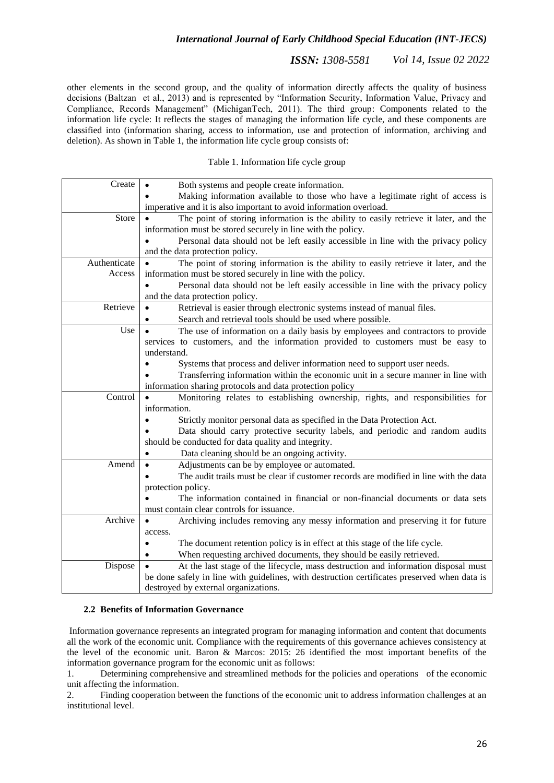*ISSN: 1308-5581 Vol 14, Issue 02 2022*

other elements in the second group, and the quality of information directly affects the quality of business decisions (Baltzan et al., 2013) and is represented by "Information Security, Information Value, Privacy and Compliance, Records Management" (MichiganTech, 2011). The third group: Components related to the information life cycle: It reflects the stages of managing the information life cycle, and these components are classified into (information sharing, access to information, use and protection of information, archiving and deletion). As shown in Table 1, the information life cycle group consists of:

## Table 1. Information life cycle group

| Create       | Both systems and people create information.                                                  |  |  |  |
|--------------|----------------------------------------------------------------------------------------------|--|--|--|
|              | Making information available to those who have a legitimate right of access is               |  |  |  |
|              | imperative and it is also important to avoid information overload.                           |  |  |  |
| Store        | The point of storing information is the ability to easily retrieve it later, and the         |  |  |  |
|              | information must be stored securely in line with the policy.                                 |  |  |  |
|              | Personal data should not be left easily accessible in line with the privacy policy           |  |  |  |
|              | and the data protection policy.                                                              |  |  |  |
| Authenticate | The point of storing information is the ability to easily retrieve it later, and the         |  |  |  |
| Access       | information must be stored securely in line with the policy.                                 |  |  |  |
|              | Personal data should not be left easily accessible in line with the privacy policy           |  |  |  |
|              | and the data protection policy.                                                              |  |  |  |
| Retrieve     | Retrieval is easier through electronic systems instead of manual files.                      |  |  |  |
|              | Search and retrieval tools should be used where possible.                                    |  |  |  |
| Use          | The use of information on a daily basis by employees and contractors to provide              |  |  |  |
|              | services to customers, and the information provided to customers must be easy to             |  |  |  |
|              | understand.                                                                                  |  |  |  |
|              | Systems that process and deliver information need to support user needs.                     |  |  |  |
|              | Transferring information within the economic unit in a secure manner in line with            |  |  |  |
|              | information sharing protocols and data protection policy                                     |  |  |  |
| Control      | Monitoring relates to establishing ownership, rights, and responsibilities for               |  |  |  |
|              | information.                                                                                 |  |  |  |
|              | Strictly monitor personal data as specified in the Data Protection Act.                      |  |  |  |
|              | Data should carry protective security labels, and periodic and random audits                 |  |  |  |
|              | should be conducted for data quality and integrity.                                          |  |  |  |
|              | Data cleaning should be an ongoing activity.                                                 |  |  |  |
| Amend        | Adjustments can be by employee or automated.                                                 |  |  |  |
|              | The audit trails must be clear if customer records are modified in line with the data        |  |  |  |
|              | protection policy.                                                                           |  |  |  |
|              | The information contained in financial or non-financial documents or data sets               |  |  |  |
|              | must contain clear controls for issuance.                                                    |  |  |  |
| Archive      | Archiving includes removing any messy information and preserving it for future               |  |  |  |
|              | access.                                                                                      |  |  |  |
|              | The document retention policy is in effect at this stage of the life cycle.                  |  |  |  |
|              | When requesting archived documents, they should be easily retrieved.                         |  |  |  |
| Dispose      | At the last stage of the lifecycle, mass destruction and information disposal must           |  |  |  |
|              | be done safely in line with guidelines, with destruction certificates preserved when data is |  |  |  |
|              | destroyed by external organizations.                                                         |  |  |  |

## **2.2 Benefits of Information Governance**

Information governance represents an integrated program for managing information and content that documents all the work of the economic unit. Compliance with the requirements of this governance achieves consistency at the level of the economic unit. Baron & Marcos: 2015: 26 identified the most important benefits of the information governance program for the economic unit as follows:

1. Determining comprehensive and streamlined methods for the policies and operations of the economic unit affecting the information.

2. Finding cooperation between the functions of the economic unit to address information challenges at an institutional level.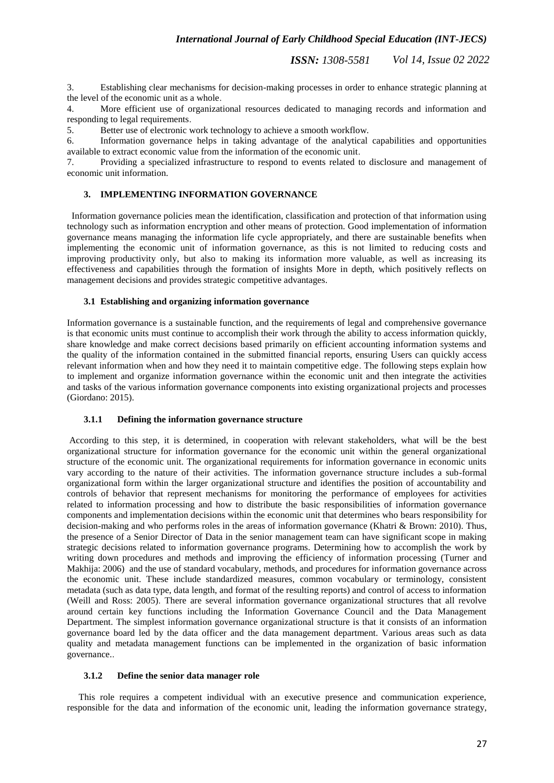3. Establishing clear mechanisms for decision-making processes in order to enhance strategic planning at the level of the economic unit as a whole.

4. More efficient use of organizational resources dedicated to managing records and information and responding to legal requirements.

5. Better use of electronic work technology to achieve a smooth workflow.

6. Information governance helps in taking advantage of the analytical capabilities and opportunities available to extract economic value from the information of the economic unit.

7. Providing a specialized infrastructure to respond to events related to disclosure and management of economic unit information.

## **3. IMPLEMENTING INFORMATION GOVERNANCE**

 Information governance policies mean the identification, classification and protection of that information using technology such as information encryption and other means of protection. Good implementation of information governance means managing the information life cycle appropriately, and there are sustainable benefits when implementing the economic unit of information governance, as this is not limited to reducing costs and improving productivity only, but also to making its information more valuable, as well as increasing its effectiveness and capabilities through the formation of insights More in depth, which positively reflects on management decisions and provides strategic competitive advantages.

## **3.1 Establishing and organizing information governance**

Information governance is a sustainable function, and the requirements of legal and comprehensive governance is that economic units must continue to accomplish their work through the ability to access information quickly, share knowledge and make correct decisions based primarily on efficient accounting information systems and the quality of the information contained in the submitted financial reports, ensuring Users can quickly access relevant information when and how they need it to maintain competitive edge. The following steps explain how to implement and organize information governance within the economic unit and then integrate the activities and tasks of the various information governance components into existing organizational projects and processes (Giordano: 2015).

#### **3.1.1 Defining the information governance structure**

According to this step, it is determined, in cooperation with relevant stakeholders, what will be the best organizational structure for information governance for the economic unit within the general organizational structure of the economic unit. The organizational requirements for information governance in economic units vary according to the nature of their activities. The information governance structure includes a sub-formal organizational form within the larger organizational structure and identifies the position of accountability and controls of behavior that represent mechanisms for monitoring the performance of employees for activities related to information processing and how to distribute the basic responsibilities of information governance components and implementation decisions within the economic unit that determines who bears responsibility for decision-making and who performs roles in the areas of information governance (Khatri & Brown: 2010). Thus, the presence of a Senior Director of Data in the senior management team can have significant scope in making strategic decisions related to information governance programs. Determining how to accomplish the work by writing down procedures and methods and improving the efficiency of information processing (Turner and Makhija: 2006) and the use of standard vocabulary, methods, and procedures for information governance across the economic unit. These include standardized measures, common vocabulary or terminology, consistent metadata (such as data type, data length, and format of the resulting reports) and control of access to information (Weill and Ross: 2005). There are several information governance organizational structures that all revolve around certain key functions including the Information Governance Council and the Data Management Department. The simplest information governance organizational structure is that it consists of an information governance board led by the data officer and the data management department. Various areas such as data quality and metadata management functions can be implemented in the organization of basic information governance..

#### **3.1.2 Define the senior data manager role**

 This role requires a competent individual with an executive presence and communication experience, responsible for the data and information of the economic unit, leading the information governance strategy,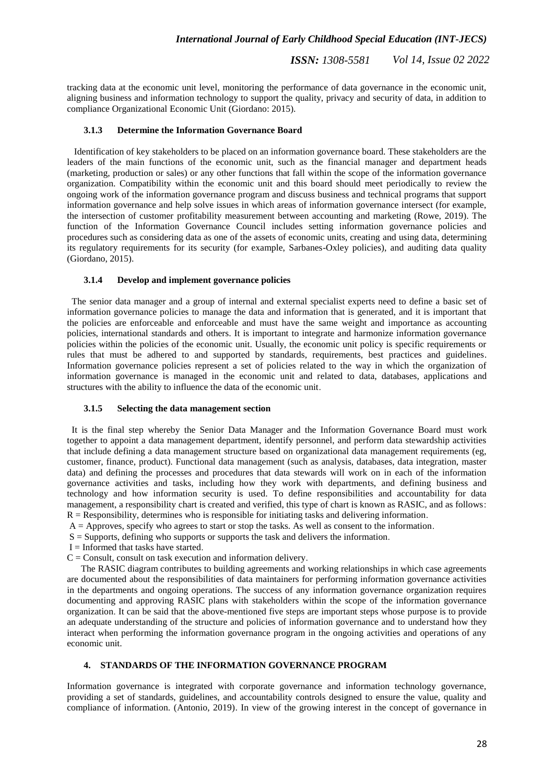tracking data at the economic unit level, monitoring the performance of data governance in the economic unit, aligning business and information technology to support the quality, privacy and security of data, in addition to compliance Organizational Economic Unit (Giordano: 2015).

#### **3.1.3 Determine the Information Governance Board**

 Identification of key stakeholders to be placed on an information governance board. These stakeholders are the leaders of the main functions of the economic unit, such as the financial manager and department heads (marketing, production or sales) or any other functions that fall within the scope of the information governance organization. Compatibility within the economic unit and this board should meet periodically to review the ongoing work of the information governance program and discuss business and technical programs that support information governance and help solve issues in which areas of information governance intersect (for example, the intersection of customer profitability measurement between accounting and marketing (Rowe, 2019). The function of the Information Governance Council includes setting information governance policies and procedures such as considering data as one of the assets of economic units, creating and using data, determining its regulatory requirements for its security (for example, Sarbanes-Oxley policies), and auditing data quality (Giordano, 2015).

#### **3.1.4 Develop and implement governance policies**

 The senior data manager and a group of internal and external specialist experts need to define a basic set of information governance policies to manage the data and information that is generated, and it is important that the policies are enforceable and enforceable and must have the same weight and importance as accounting policies, international standards and others. It is important to integrate and harmonize information governance policies within the policies of the economic unit. Usually, the economic unit policy is specific requirements or rules that must be adhered to and supported by standards, requirements, best practices and guidelines. Information governance policies represent a set of policies related to the way in which the organization of information governance is managed in the economic unit and related to data, databases, applications and structures with the ability to influence the data of the economic unit.

#### **3.1.5 Selecting the data management section**

 It is the final step whereby the Senior Data Manager and the Information Governance Board must work together to appoint a data management department, identify personnel, and perform data stewardship activities that include defining a data management structure based on organizational data management requirements (eg, customer, finance, product). Functional data management (such as analysis, databases, data integration, master data) and defining the processes and procedures that data stewards will work on in each of the information governance activities and tasks, including how they work with departments, and defining business and technology and how information security is used. To define responsibilities and accountability for data management, a responsibility chart is created and verified, this type of chart is known as RASIC, and as follows:  $R =$  Responsibility, determines who is responsible for initiating tasks and delivering information.

- $A =$  Approves, specify who agrees to start or stop the tasks. As well as consent to the information.
- $S =$  Supports, defining who supports or supports the task and delivers the information.
- $I = Informed that tasks have started.$
- $C =$  Consult, consult on task execution and information delivery.

 The RASIC diagram contributes to building agreements and working relationships in which case agreements are documented about the responsibilities of data maintainers for performing information governance activities in the departments and ongoing operations. The success of any information governance organization requires documenting and approving RASIC plans with stakeholders within the scope of the information governance organization. It can be said that the above-mentioned five steps are important steps whose purpose is to provide an adequate understanding of the structure and policies of information governance and to understand how they interact when performing the information governance program in the ongoing activities and operations of any economic unit.

## **4. STANDARDS OF THE INFORMATION GOVERNANCE PROGRAM**

Information governance is integrated with corporate governance and information technology governance, providing a set of standards, guidelines, and accountability controls designed to ensure the value, quality and compliance of information. (Antonio, 2019). In view of the growing interest in the concept of governance in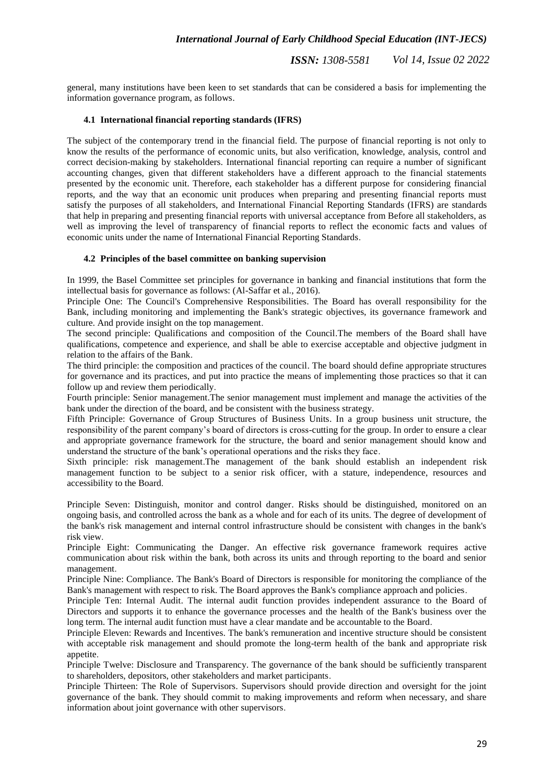*ISSN: 1308-5581 Vol 14, Issue 02 2022*

general, many institutions have been keen to set standards that can be considered a basis for implementing the information governance program, as follows.

#### **4.1 International financial reporting standards (IFRS)**

The subject of the contemporary trend in the financial field. The purpose of financial reporting is not only to know the results of the performance of economic units, but also verification, knowledge, analysis, control and correct decision-making by stakeholders. International financial reporting can require a number of significant accounting changes, given that different stakeholders have a different approach to the financial statements presented by the economic unit. Therefore, each stakeholder has a different purpose for considering financial reports, and the way that an economic unit produces when preparing and presenting financial reports must satisfy the purposes of all stakeholders, and International Financial Reporting Standards (IFRS) are standards that help in preparing and presenting financial reports with universal acceptance from Before all stakeholders, as well as improving the level of transparency of financial reports to reflect the economic facts and values of economic units under the name of International Financial Reporting Standards.

#### **4.2 Principles of the basel committee on banking supervision**

In 1999, the Basel Committee set principles for governance in banking and financial institutions that form the intellectual basis for governance as follows: (Al-Saffar et al., 2016).

Principle One: The Council's Comprehensive Responsibilities. The Board has overall responsibility for the Bank, including monitoring and implementing the Bank's strategic objectives, its governance framework and culture. And provide insight on the top management.

The second principle: Qualifications and composition of the Council.The members of the Board shall have qualifications, competence and experience, and shall be able to exercise acceptable and objective judgment in relation to the affairs of the Bank.

The third principle: the composition and practices of the council. The board should define appropriate structures for governance and its practices, and put into practice the means of implementing those practices so that it can follow up and review them periodically.

Fourth principle: Senior management.The senior management must implement and manage the activities of the bank under the direction of the board, and be consistent with the business strategy.

Fifth Principle: Governance of Group Structures of Business Units. In a group business unit structure, the responsibility of the parent company's board of directors is cross-cutting for the group. In order to ensure a clear and appropriate governance framework for the structure, the board and senior management should know and understand the structure of the bank's operational operations and the risks they face.

Sixth principle: risk management.The management of the bank should establish an independent risk management function to be subject to a senior risk officer, with a stature, independence, resources and accessibility to the Board.

Principle Seven: Distinguish, monitor and control danger. Risks should be distinguished, monitored on an ongoing basis, and controlled across the bank as a whole and for each of its units. The degree of development of the bank's risk management and internal control infrastructure should be consistent with changes in the bank's risk view.

Principle Eight: Communicating the Danger. An effective risk governance framework requires active communication about risk within the bank, both across its units and through reporting to the board and senior management.

Principle Nine: Compliance. The Bank's Board of Directors is responsible for monitoring the compliance of the Bank's management with respect to risk. The Board approves the Bank's compliance approach and policies.

Principle Ten: Internal Audit. The internal audit function provides independent assurance to the Board of Directors and supports it to enhance the governance processes and the health of the Bank's business over the long term. The internal audit function must have a clear mandate and be accountable to the Board.

Principle Eleven: Rewards and Incentives. The bank's remuneration and incentive structure should be consistent with acceptable risk management and should promote the long-term health of the bank and appropriate risk appetite.

Principle Twelve: Disclosure and Transparency. The governance of the bank should be sufficiently transparent to shareholders, depositors, other stakeholders and market participants.

Principle Thirteen: The Role of Supervisors. Supervisors should provide direction and oversight for the joint governance of the bank. They should commit to making improvements and reform when necessary, and share information about joint governance with other supervisors.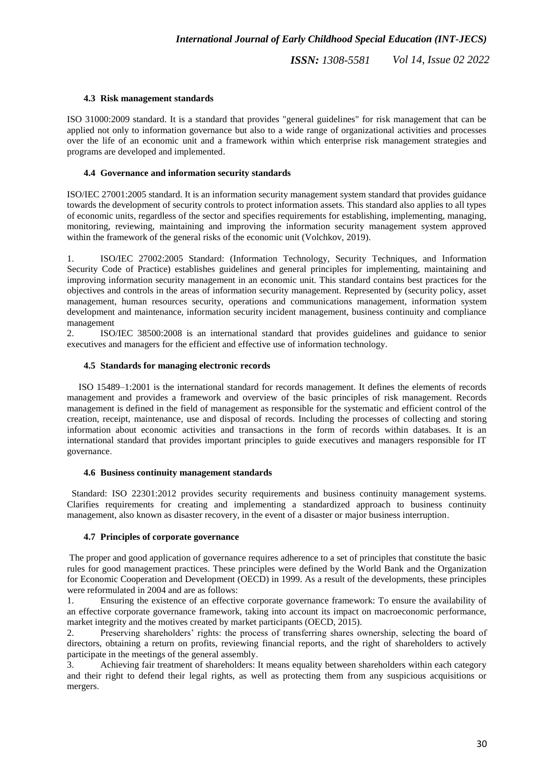## **4.3 Risk management standards**

ISO 31000:2009 standard. It is a standard that provides "general guidelines" for risk management that can be applied not only to information governance but also to a wide range of organizational activities and processes over the life of an economic unit and a framework within which enterprise risk management strategies and programs are developed and implemented.

## **4.4 Governance and information security standards**

ISO/IEC 27001:2005 standard. It is an information security management system standard that provides guidance towards the development of security controls to protect information assets. This standard also applies to all types of economic units, regardless of the sector and specifies requirements for establishing, implementing, managing, monitoring, reviewing, maintaining and improving the information security management system approved within the framework of the general risks of the economic unit (Volchkov, 2019).

1. ISO/IEC 27002:2005 Standard: (Information Technology, Security Techniques, and Information Security Code of Practice) establishes guidelines and general principles for implementing, maintaining and improving information security management in an economic unit. This standard contains best practices for the objectives and controls in the areas of information security management. Represented by (security policy, asset management, human resources security, operations and communications management, information system development and maintenance, information security incident management, business continuity and compliance management

2. ISO/IEC 38500:2008 is an international standard that provides guidelines and guidance to senior executives and managers for the efficient and effective use of information technology.

## **4.5 Standards for managing electronic records**

 ISO 15489–1:2001 is the international standard for records management. It defines the elements of records management and provides a framework and overview of the basic principles of risk management. Records management is defined in the field of management as responsible for the systematic and efficient control of the creation, receipt, maintenance, use and disposal of records. Including the processes of collecting and storing information about economic activities and transactions in the form of records within databases. It is an international standard that provides important principles to guide executives and managers responsible for IT governance.

## **4.6 Business continuity management standards**

 Standard: ISO 22301:2012 provides security requirements and business continuity management systems. Clarifies requirements for creating and implementing a standardized approach to business continuity management, also known as disaster recovery, in the event of a disaster or major business interruption.

## **4.7 Principles of corporate governance**

The proper and good application of governance requires adherence to a set of principles that constitute the basic rules for good management practices. These principles were defined by the World Bank and the Organization for Economic Cooperation and Development (OECD) in 1999. As a result of the developments, these principles were reformulated in 2004 and are as follows:

1. Ensuring the existence of an effective corporate governance framework: To ensure the availability of an effective corporate governance framework, taking into account its impact on macroeconomic performance, market integrity and the motives created by market participants (OECD, 2015).

2. Preserving shareholders' rights: the process of transferring shares ownership, selecting the board of directors, obtaining a return on profits, reviewing financial reports, and the right of shareholders to actively participate in the meetings of the general assembly.

3. Achieving fair treatment of shareholders: It means equality between shareholders within each category and their right to defend their legal rights, as well as protecting them from any suspicious acquisitions or mergers.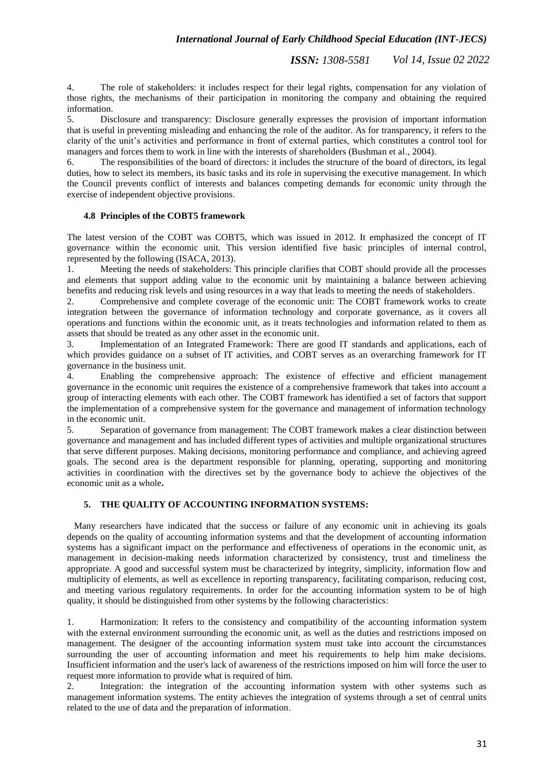*ISSN: 1308-5581 Vol 14, Issue 02 2022*

4. The role of stakeholders: it includes respect for their legal rights, compensation for any violation of those rights, the mechanisms of their participation in monitoring the company and obtaining the required information.

5. Disclosure and transparency: Disclosure generally expresses the provision of important information that is useful in preventing misleading and enhancing the role of the auditor. As for transparency, it refers to the clarity of the unit's activities and performance in front of external parties, which constitutes a control tool for managers and forces them to work in line with the interests of shareholders (Bushman et al., 2004).

6. The responsibilities of the board of directors: it includes the structure of the board of directors, its legal duties, how to select its members, its basic tasks and its role in supervising the executive management. In which the Council prevents conflict of interests and balances competing demands for economic unity through the exercise of independent objective provisions.

## **4.8 Principles of the COBT5 framework**

The latest version of the COBT was COBT5, which was issued in 2012. It emphasized the concept of IT governance within the economic unit. This version identified five basic principles of internal control, represented by the following (ISACA, 2013).

1. Meeting the needs of stakeholders: This principle clarifies that COBT should provide all the processes and elements that support adding value to the economic unit by maintaining a balance between achieving benefits and reducing risk levels and using resources in a way that leads to meeting the needs of stakeholders.

2. Comprehensive and complete coverage of the economic unit: The COBT framework works to create integration between the governance of information technology and corporate governance, as it covers all operations and functions within the economic unit, as it treats technologies and information related to them as assets that should be treated as any other asset in the economic unit.

Implementation of an Integrated Framework: There are good IT standards and applications, each of which provides guidance on a subset of IT activities, and COBT serves as an overarching framework for IT governance in the business unit.

4. Enabling the comprehensive approach: The existence of effective and efficient management governance in the economic unit requires the existence of a comprehensive framework that takes into account a group of interacting elements with each other. The COBT framework has identified a set of factors that support the implementation of a comprehensive system for the governance and management of information technology in the economic unit.

5. Separation of governance from management: The COBT framework makes a clear distinction between governance and management and has included different types of activities and multiple organizational structures that serve different purposes. Making decisions, monitoring performance and compliance, and achieving agreed goals. The second area is the department responsible for planning, operating, supporting and monitoring activities in coordination with the directives set by the governance body to achieve the objectives of the economic unit as a whole**.**

# **5. THE QUALITY OF ACCOUNTING INFORMATION SYSTEMS:**

 Many researchers have indicated that the success or failure of any economic unit in achieving its goals depends on the quality of accounting information systems and that the development of accounting information systems has a significant impact on the performance and effectiveness of operations in the economic unit, as management in decision-making needs information characterized by consistency, trust and timeliness the appropriate. A good and successful system must be characterized by integrity, simplicity, information flow and multiplicity of elements, as well as excellence in reporting transparency, facilitating comparison, reducing cost, and meeting various regulatory requirements. In order for the accounting information system to be of high quality, it should be distinguished from other systems by the following characteristics:

1. Harmonization: It refers to the consistency and compatibility of the accounting information system with the external environment surrounding the economic unit, as well as the duties and restrictions imposed on management. The designer of the accounting information system must take into account the circumstances surrounding the user of accounting information and meet his requirements to help him make decisions. Insufficient information and the user's lack of awareness of the restrictions imposed on him will force the user to request more information to provide what is required of him.

2. Integration: the integration of the accounting information system with other systems such as management information systems. The entity achieves the integration of systems through a set of central units related to the use of data and the preparation of information.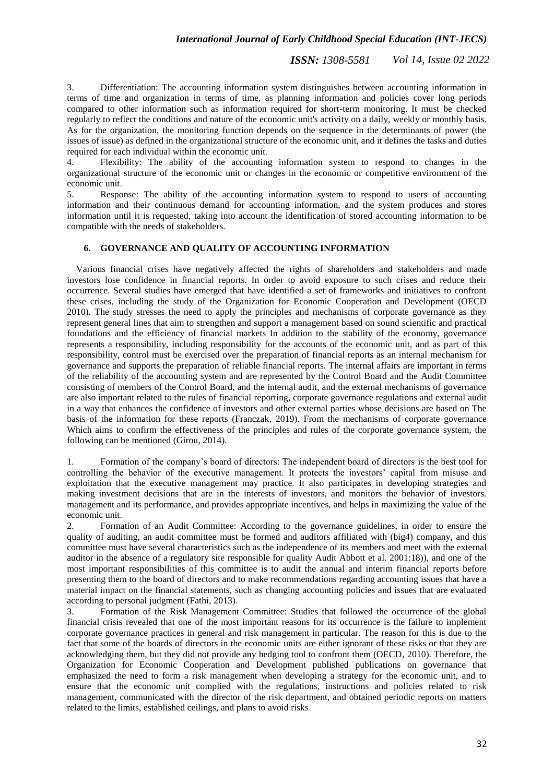*ISSN: 1308-5581 Vol 14, Issue 02 2022*

3. Differentiation: The accounting information system distinguishes between accounting information in terms of time and organization in terms of time, as planning information and policies cover long periods compared to other information such as information required for short-term monitoring. It must be checked regularly to reflect the conditions and nature of the economic unit's activity on a daily, weekly or monthly basis. As for the organization, the monitoring function depends on the sequence in the determinants of power (the issues of issue) as defined in the organizational structure of the economic unit, and it defines the tasks and duties required for each individual within the economic unit.

4. Flexibility: The ability of the accounting information system to respond to changes in the organizational structure of the economic unit or changes in the economic or competitive environment of the economic unit.

5. Response: The ability of the accounting information system to respond to users of accounting information and their continuous demand for accounting information, and the system produces and stores information until it is requested, taking into account the identification of stored accounting information to be compatible with the needs of stakeholders.

#### **6. GOVERNANCE AND QUALITY OF ACCOUNTING INFORMATION**

 Various financial crises have negatively affected the rights of shareholders and stakeholders and made investors lose confidence in financial reports. In order to avoid exposure to such crises and reduce their occurrence. Several studies have emerged that have identified a set of frameworks and initiatives to confront these crises, including the study of the Organization for Economic Cooperation and Development (OECD 2010). The study stresses the need to apply the principles and mechanisms of corporate governance as they represent general lines that aim to strengthen and support a management based on sound scientific and practical foundations and the efficiency of financial markets In addition to the stability of the economy, governance represents a responsibility, including responsibility for the accounts of the economic unit, and as part of this responsibility, control must be exercised over the preparation of financial reports as an internal mechanism for governance and supports the preparation of reliable financial reports. The internal affairs are important in terms of the reliability of the accounting system and are represented by the Control Board and the Audit Committee consisting of members of the Control Board, and the internal audit, and the external mechanisms of governance are also important related to the rules of financial reporting, corporate governance regulations and external audit in a way that enhances the confidence of investors and other external parties whose decisions are based on The basis of the information for these reports (Franczak, 2019). From the mechanisms of corporate governance Which aims to confirm the effectiveness of the principles and rules of the corporate governance system, the following can be mentioned (Girou, 2014).

1. Formation of the company's board of directors: The independent board of directors is the best tool for controlling the behavior of the executive management. It protects the investors' capital from misuse and exploitation that the executive management may practice. It also participates in developing strategies and making investment decisions that are in the interests of investors, and monitors the behavior of investors. management and its performance, and provides appropriate incentives, and helps in maximizing the value of the economic unit.

2. Formation of an Audit Committee: According to the governance guidelines, in order to ensure the quality of auditing, an audit committee must be formed and auditors affiliated with (big4) company, and this committee must have several characteristics such as the independence of its members and meet with the external auditor in the absence of a regulatory site responsible for quality Audit Abbott et al. 2001:18)), and one of the most important responsibilities of this committee is to audit the annual and interim financial reports before presenting them to the board of directors and to make recommendations regarding accounting issues that have a material impact on the financial statements, such as changing accounting policies and issues that are evaluated according to personal judgment (Fathi, 2013).

3. Formation of the Risk Management Committee: Studies that followed the occurrence of the global financial crisis revealed that one of the most important reasons for its occurrence is the failure to implement corporate governance practices in general and risk management in particular. The reason for this is due to the fact that some of the boards of directors in the economic units are either ignorant of these risks or that they are acknowledging them, but they did not provide any hedging tool to confront them (OECD, 2010). Therefore, the Organization for Economic Cooperation and Development published publications on governance that emphasized the need to form a risk management when developing a strategy for the economic unit, and to ensure that the economic unit complied with the regulations, instructions and policies related to risk management, communicated with the director of the risk department, and obtained periodic reports on matters related to the limits, established ceilings, and plans to avoid risks.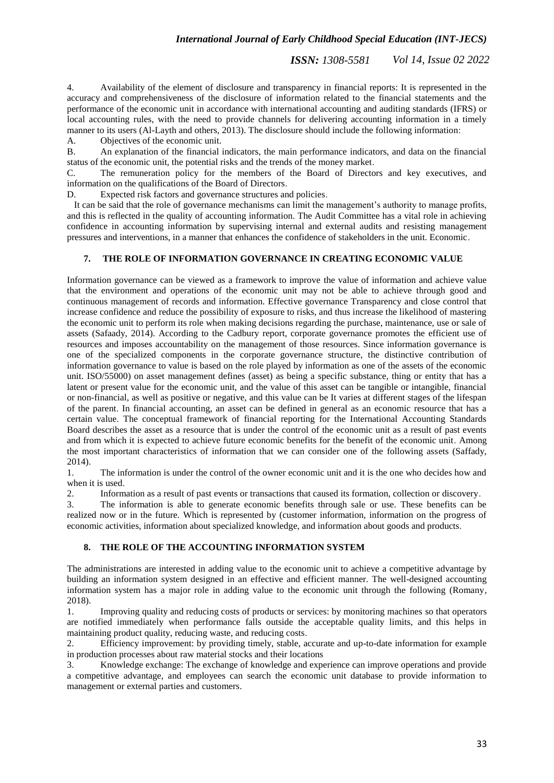4. Availability of the element of disclosure and transparency in financial reports: It is represented in the accuracy and comprehensiveness of the disclosure of information related to the financial statements and the performance of the economic unit in accordance with international accounting and auditing standards (IFRS) or local accounting rules, with the need to provide channels for delivering accounting information in a timely manner to its users (Al-Layth and others, 2013). The disclosure should include the following information:

A. Objectives of the economic unit.

B. An explanation of the financial indicators, the main performance indicators, and data on the financial status of the economic unit, the potential risks and the trends of the money market.

C. The remuneration policy for the members of the Board of Directors and key executives, and information on the qualifications of the Board of Directors.

D. Expected risk factors and governance structures and policies.

 It can be said that the role of governance mechanisms can limit the management's authority to manage profits, and this is reflected in the quality of accounting information. The Audit Committee has a vital role in achieving confidence in accounting information by supervising internal and external audits and resisting management pressures and interventions, in a manner that enhances the confidence of stakeholders in the unit. Economic.

## **7. THE ROLE OF INFORMATION GOVERNANCE IN CREATING ECONOMIC VALUE**

Information governance can be viewed as a framework to improve the value of information and achieve value that the environment and operations of the economic unit may not be able to achieve through good and continuous management of records and information. Effective governance Transparency and close control that increase confidence and reduce the possibility of exposure to risks, and thus increase the likelihood of mastering the economic unit to perform its role when making decisions regarding the purchase, maintenance, use or sale of assets (Safaady, 2014). According to the Cadbury report, corporate governance promotes the efficient use of resources and imposes accountability on the management of those resources. Since information governance is one of the specialized components in the corporate governance structure, the distinctive contribution of information governance to value is based on the role played by information as one of the assets of the economic unit. ISO/55000) on asset management defines (asset) as being a specific substance, thing or entity that has a latent or present value for the economic unit, and the value of this asset can be tangible or intangible, financial or non-financial, as well as positive or negative, and this value can be It varies at different stages of the lifespan of the parent. In financial accounting, an asset can be defined in general as an economic resource that has a certain value. The conceptual framework of financial reporting for the International Accounting Standards Board describes the asset as a resource that is under the control of the economic unit as a result of past events and from which it is expected to achieve future economic benefits for the benefit of the economic unit. Among the most important characteristics of information that we can consider one of the following assets (Saffady, 2014).

1. The information is under the control of the owner economic unit and it is the one who decides how and when it is used.

2. Information as a result of past events or transactions that caused its formation, collection or discovery.

3. The information is able to generate economic benefits through sale or use. These benefits can be realized now or in the future. Which is represented by (customer information, information on the progress of economic activities, information about specialized knowledge, and information about goods and products.

#### **8. THE ROLE OF THE ACCOUNTING INFORMATION SYSTEM**

The administrations are interested in adding value to the economic unit to achieve a competitive advantage by building an information system designed in an effective and efficient manner. The well-designed accounting information system has a major role in adding value to the economic unit through the following (Romany, 2018).

1. Improving quality and reducing costs of products or services: by monitoring machines so that operators are notified immediately when performance falls outside the acceptable quality limits, and this helps in maintaining product quality, reducing waste, and reducing costs.

2. Efficiency improvement: by providing timely, stable, accurate and up-to-date information for example in production processes about raw material stocks and their locations

3. Knowledge exchange: The exchange of knowledge and experience can improve operations and provide a competitive advantage, and employees can search the economic unit database to provide information to management or external parties and customers.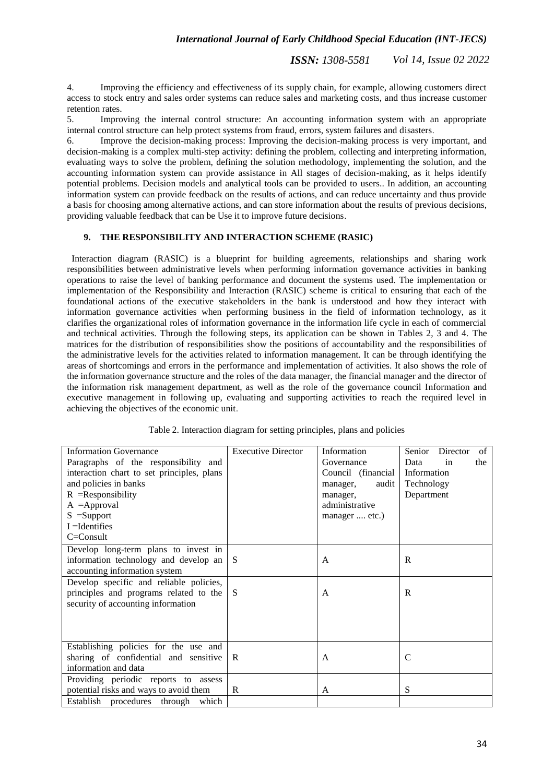*ISSN: 1308-5581 Vol 14, Issue 02 2022*

4. Improving the efficiency and effectiveness of its supply chain, for example, allowing customers direct access to stock entry and sales order systems can reduce sales and marketing costs, and thus increase customer retention rates.

5. Improving the internal control structure: An accounting information system with an appropriate internal control structure can help protect systems from fraud, errors, system failures and disasters.

6. Improve the decision-making process: Improving the decision-making process is very important, and decision-making is a complex multi-step activity: defining the problem, collecting and interpreting information, evaluating ways to solve the problem, defining the solution methodology, implementing the solution, and the accounting information system can provide assistance in All stages of decision-making, as it helps identify potential problems. Decision models and analytical tools can be provided to users.. In addition, an accounting information system can provide feedback on the results of actions, and can reduce uncertainty and thus provide a basis for choosing among alternative actions, and can store information about the results of previous decisions, providing valuable feedback that can be Use it to improve future decisions.

## **9. THE RESPONSIBILITY AND INTERACTION SCHEME (RASIC)**

 Interaction diagram (RASIC) is a blueprint for building agreements, relationships and sharing work responsibilities between administrative levels when performing information governance activities in banking operations to raise the level of banking performance and document the systems used. The implementation or implementation of the Responsibility and Interaction (RASIC) scheme is critical to ensuring that each of the foundational actions of the executive stakeholders in the bank is understood and how they interact with information governance activities when performing business in the field of information technology, as it clarifies the organizational roles of information governance in the information life cycle in each of commercial and technical activities. Through the following steps, its application can be shown in Tables 2, 3 and 4. The matrices for the distribution of responsibilities show the positions of accountability and the responsibilities of the administrative levels for the activities related to information management. It can be through identifying the areas of shortcomings and errors in the performance and implementation of activities. It also shows the role of the information governance structure and the roles of the data manager, the financial manager and the director of the information risk management department, as well as the role of the governance council Information and executive management in following up, evaluating and supporting activities to reach the required level in achieving the objectives of the economic unit.

| <b>Information Governance</b>              | <b>Executive Director</b> | Information        | Director<br>Senior<br>of |
|--------------------------------------------|---------------------------|--------------------|--------------------------|
| Paragraphs of the responsibility and       |                           | Governance         | in<br>Data<br>the        |
| interaction chart to set principles, plans |                           | Council (financial | Information              |
| and policies in banks                      |                           | audit<br>manager,  | Technology               |
| $R$ = Responsibility                       |                           | manager,           | Department               |
| $A =$ Approval                             |                           | administrative     |                          |
| $S = Support$                              |                           | manager  etc.)     |                          |
| $I =$ Identifies                           |                           |                    |                          |
| $C = Const$                                |                           |                    |                          |
| Develop long-term plans to invest in       |                           |                    |                          |
| information technology and develop an      | <sub>S</sub>              | A                  | R                        |
| accounting information system              |                           |                    |                          |
| Develop specific and reliable policies,    |                           |                    |                          |
| principles and programs related to the     | <sub>S</sub>              | A                  | R                        |
| security of accounting information         |                           |                    |                          |
|                                            |                           |                    |                          |
|                                            |                           |                    |                          |
|                                            |                           |                    |                          |
| Establishing policies for the use and      |                           |                    |                          |
| sharing of confidential and sensitive      | R                         | A                  | $\mathcal{C}$            |
| information and data                       |                           |                    |                          |
| Providing periodic reports to assess       |                           |                    |                          |
| potential risks and ways to avoid them     | R                         | A                  | S                        |
| Establish<br>procedures through which      |                           |                    |                          |

Table 2. Interaction diagram for setting principles, plans and policies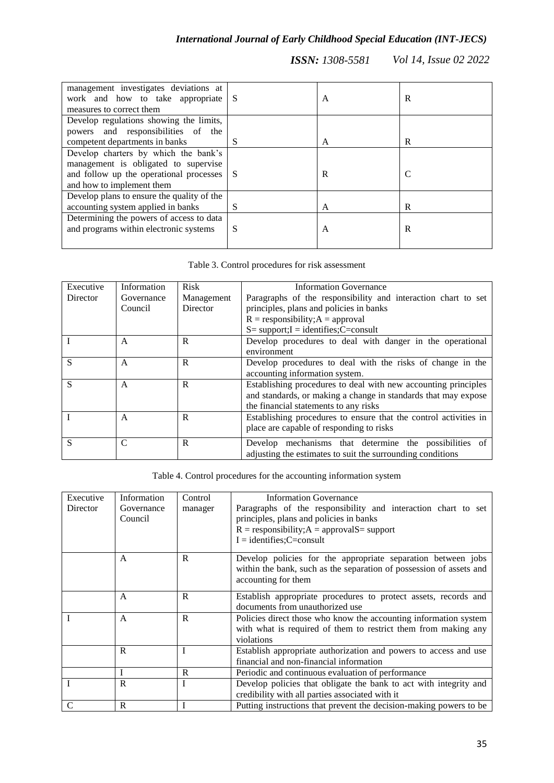| management investigates deviations at<br>work and how to take appropriate S<br>measures to correct them |   | A | R |
|---------------------------------------------------------------------------------------------------------|---|---|---|
| Develop regulations showing the limits,                                                                 |   |   |   |
| powers and responsibilities of the                                                                      |   |   |   |
| competent departments in banks                                                                          | S | A | R |
| Develop charters by which the bank's                                                                    |   |   |   |
| management is obligated to supervise                                                                    |   |   |   |
| and follow up the operational processes S                                                               |   | R | C |
| and how to implement them                                                                               |   |   |   |
| Develop plans to ensure the quality of the                                                              |   |   |   |
| accounting system applied in banks                                                                      | S | A | R |
| Determining the powers of access to data                                                                |   |   |   |
| and programs within electronic systems                                                                  | S | A | R |
|                                                                                                         |   |   |   |

Table 3. Control procedures for risk assessment

| Executive       | Information   | <b>Risk</b> | <b>Information Governance</b>                                    |
|-----------------|---------------|-------------|------------------------------------------------------------------|
| <b>Director</b> | Governance    | Management  | Paragraphs of the responsibility and interaction chart to set    |
|                 | Council       | Director    | principles, plans and policies in banks                          |
|                 |               |             | $R =$ responsibility; $A =$ approval                             |
|                 |               |             | $S = support; I = identifies; C = consult$                       |
|                 | A             | R           | Develop procedures to deal with danger in the operational        |
|                 |               |             | environment                                                      |
| S               | $\mathsf{A}$  | R           | Develop procedures to deal with the risks of change in the       |
|                 |               |             | accounting information system.                                   |
| S               | $\mathsf{A}$  | R           | Establishing procedures to deal with new accounting principles   |
|                 |               |             | and standards, or making a change in standards that may expose   |
|                 |               |             | the financial statements to any risks                            |
|                 | A             | R           | Establishing procedures to ensure that the control activities in |
|                 |               |             | place are capable of responding to risks                         |
| S               | $\mathcal{C}$ | R           | Develop mechanisms that determine the possibilities of           |
|                 |               |             | adjusting the estimates to suit the surrounding conditions       |

# Table 4. Control procedures for the accounting information system

| Executive<br>Director | Information<br>Governance<br>Council | Control<br>manager | <b>Information Governance</b><br>Paragraphs of the responsibility and interaction chart to set<br>principles, plans and policies in banks<br>$R =$ responsibility; $A =$ approval $S =$ support<br>$I =$ identifies; C=consult |
|-----------------------|--------------------------------------|--------------------|--------------------------------------------------------------------------------------------------------------------------------------------------------------------------------------------------------------------------------|
|                       | A                                    | R                  | Develop policies for the appropriate separation between jobs<br>within the bank, such as the separation of possession of assets and<br>accounting for them                                                                     |
|                       | A                                    | R                  | Establish appropriate procedures to protect assets, records and<br>documents from unauthorized use                                                                                                                             |
|                       | $\overline{A}$                       | R                  | Policies direct those who know the accounting information system<br>with what is required of them to restrict them from making any<br>violations                                                                               |
|                       | $\mathbf R$                          | T                  | Establish appropriate authorization and powers to access and use<br>financial and non-financial information                                                                                                                    |
|                       |                                      | $\mathbf R$        | Periodic and continuous evaluation of performance                                                                                                                                                                              |
|                       | $\mathbf R$                          |                    | Develop policies that obligate the bank to act with integrity and<br>credibility with all parties associated with it                                                                                                           |
|                       | R                                    |                    | Putting instructions that prevent the decision-making powers to be                                                                                                                                                             |